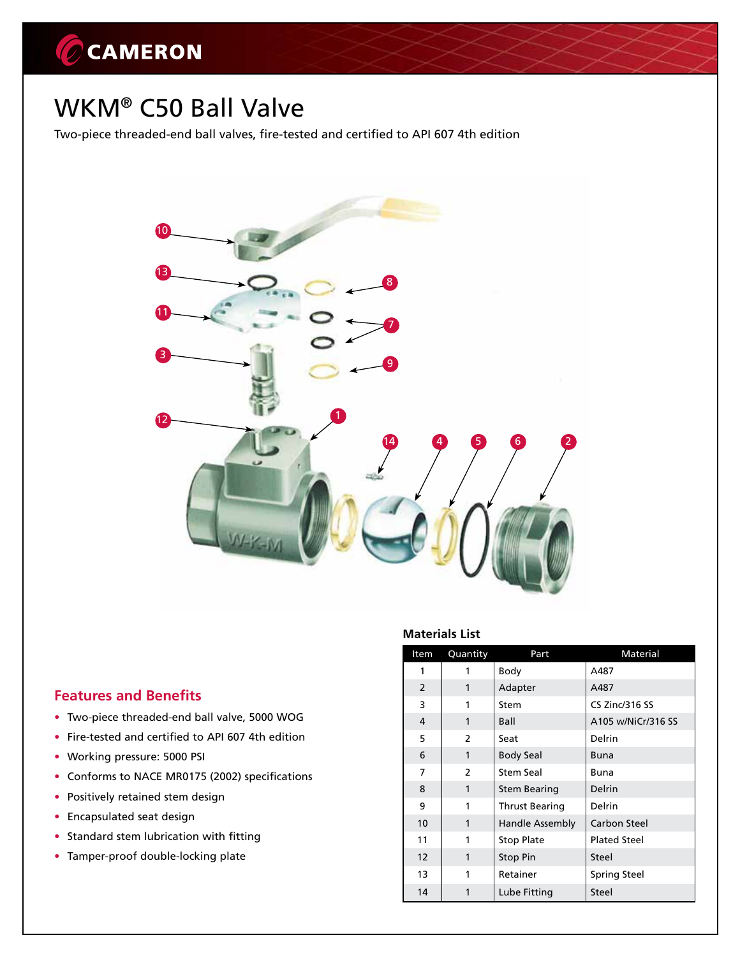# CCAMERON

## WKM® C50 Ball Valve

Two-piece threaded-end ball valves, fire-tested and certified to API 607 4th edition



### **Features and Benefits**

- Two-piece threaded-end ball valve, 5000 WOG
- Fire-tested and certified to API 607 4th edition
- Working pressure: 5000 PSI
- Conforms to NACE MR0175 (2002) specifications
- Positively retained stem design
- • Encapsulated seat design
- Standard stem lubrication with fitting
- Tamper-proof double-locking plate

#### **Materials List**

| Item           | Quantity                 | Part                  | Material            |  |
|----------------|--------------------------|-----------------------|---------------------|--|
| 1              |                          | Body                  | A487                |  |
| $\overline{2}$ | 1                        | Adapter               | A487                |  |
| 3              | 1                        | Stem                  | CS Zinc/316 SS      |  |
| 4              | 1                        | Ball                  | A105 w/NiCr/316 SS  |  |
| 5              | $\overline{2}$           | Seat                  | Delrin              |  |
| 6              | 1                        | <b>Body Seal</b>      | Buna                |  |
| 7              | $\overline{\phantom{a}}$ | Stem Seal             | Buna                |  |
| 8              | 1                        | <b>Stem Bearing</b>   | Delrin              |  |
| 9              | 1                        | <b>Thrust Bearing</b> | Delrin              |  |
| 10             | 1                        | Handle Assembly       | <b>Carbon Steel</b> |  |
| 11             | 1                        | <b>Stop Plate</b>     | <b>Plated Steel</b> |  |
| 12             | 1                        | Stop Pin              | Steel               |  |
| 13             | 1                        | Retainer              | <b>Spring Steel</b> |  |
| 14             | 1                        | Lube Fitting          | Steel               |  |